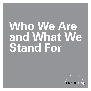## **Who We Are and What We Stand For**

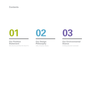#### **Contents**

## **01**

**Our Position Statement** Who We Are and What We Stand For



**Our Design Philosophy** Utility. Simplicity. Beauty.



**Our Environmental Stance** On Being Naturally Sustainable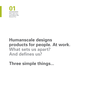

#### **Humanscale designs products for people. At work. What sets us apart? And defines us?**

**Three simple things...**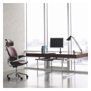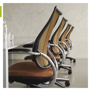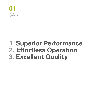

## **1. Superior Performance 2. Effortless Operation 3. Excellent Quality**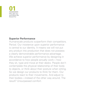

#### **Superior Performance**

Humanscale products outperform their competitors. Period. Our insistence upon superior performance is central to our identity. It means we will not put any product into production that does not possess a clearly demonstrable performance advantage. We achieve superior performance by designing in accordance to how people actually work— how they sit, type and move at their desks. People don't contemplate the physical relationship of their body to objects, or think about their posture when sitting. So we design our products to think for them. Our products react to their movements. And adjust to their bodies—instead of the other way around. The result? Unsurpassed comfort.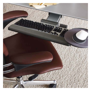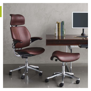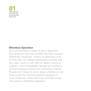

#### **Effortless Operation**

Our commitment to ease of use is absolute. Our products may look familiar, but they function differently. Intuitively. There's no learning curve for the user. Our design philosophy ensures that any user—short or tall, light or heavy, novice or veteran—can immediately operate our products without having to consult an instruction manual. People don't have to worry about whether or not they've set the controls properly because in most instances, there aren't any controls to set. The result is effortless operation.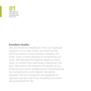

#### **Excellent Quality**

We are driven by excellence. From our keyboard supports to our task chairs, we stand as the premium brand in every product category we enter. Cost is never allowed to compromise our work. We demand the highest quality at every level, no matter how seemingly insignificant the part. We ensure the integrity and quality of our products by custom-designing and manufacturing our components to the highest standards possible. All of our products are designed for rigorous use and maximum durability, and most are guaranteed for life.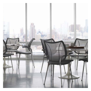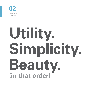

## **Utility. Simplicity. Beauty. (in that order)**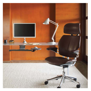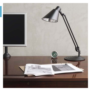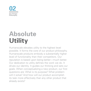

## **Absolute Utility**

Humanscale elevates utility to the highest level possible. It forms the core of our product philosophy. Humanscale products embody a substantially higher level of functionality than their competitors. Our reputation is based upon being better—much better. Our dedication to utility defines the work we do. It drives our identity. It guides our thinking and sets our goals. When conceptualizing a new product, our first questions are: What is its purpose? What problem will it solve? And how will our product accomplish its task more effectively than any other product that already exists?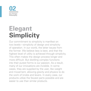

### **Elegant Simplicity**

Our commitment to simplicity is manifest on two levels—simplicity of design and simplicity of operation. In our world, the latter issues from the former. We believe less is best, and that the highest level of utility is achieved through simplicity. This often makes the design process longer and more difficult. But distilling complex functions into their purest forms is our passion. As a result, many of our innovations are invisible. In some cases, they are supplied by the user, like weight and movement, allowing gravity and physics to do the work of knobs and levers. In every case, our products utilize the fewest parts possible and are easier to use than similar products.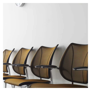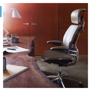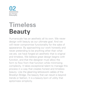

### **Timeless Beauty**

Humanscale has an aesthetic all its own. We never design with beauty as our ultimate goal. And we will never compromise functionality for the sake of appearance. By approaching our work honestly and never pretending to be anything other than what we are, we have forged an aesthetic that is original and timeless. We believe great design begins with function, and that the designer must allow the form to flow from that function while minimizing complexity. It takes exceptional talent to manage this process in a way that creates honest and timeless beauty. Like the gleaming latticework cables of the Brooklyn Bridge, the beauty that can result is beyond trends or fashion. It is a beauty born of utility that epitomizes simplicity.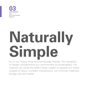

**Environmental Stance**

# **Naturally Simple**

It's in our nature to be environmentally friendly. Our simplicity of design complements our commitment to sustainability. For instance, by using the sitter's body weight to operate our chairs instead of heavy, complex mechanisms, we minimize materials, energy use and waste.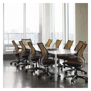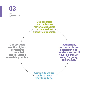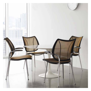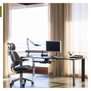